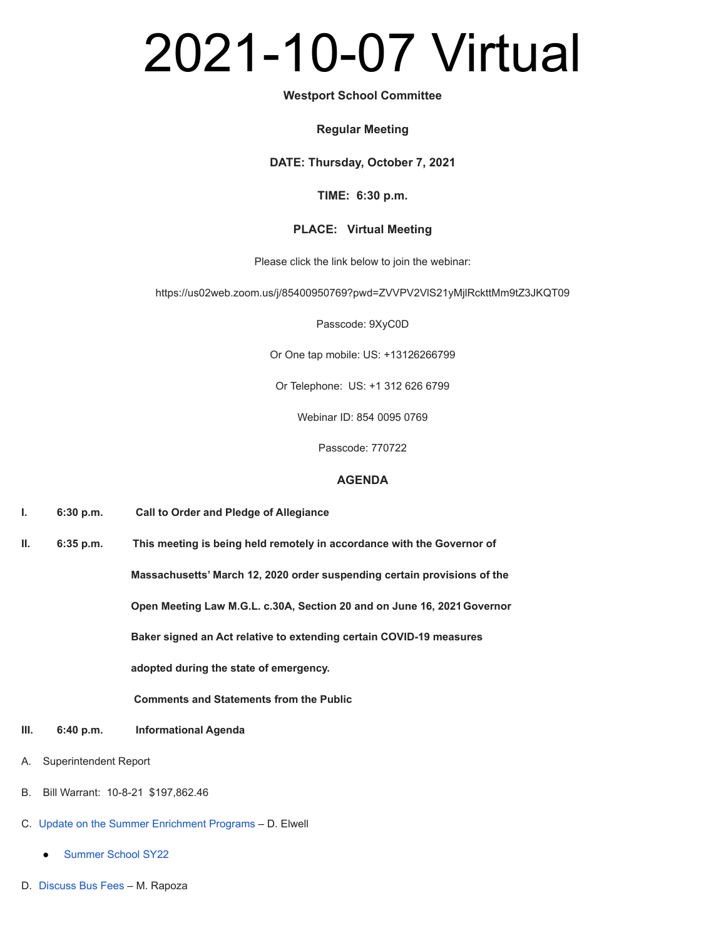# 2021-10-07 Virtual

#### **Westport School Committee**

#### **Regular Meeting**

**DATE: Thursday, October 7, 2021**

### **TIME: 6:30 p.m.**

## **PLACE: Virtual Meeting**

Please click the link below to join the webinar:

https://us02web.zoom.us/j/85400950769?pwd=ZVVPV2VlS21yMjlRckttMm9tZ3JKQT09

Passcode: 9XyC0D

Or One tap mobile: US: +13126266799

Or Telephone: US: +1 312 626 6799

Webinar ID: 854 0095 0769

Passcode: 770722

## **AGENDA**

**I. 6:30 p.m. Call to Order and Pledge of Allegiance**

**II. 6:35 p.m. This meeting is being held remotely in accordance with the Governor of Massachusetts' March 12, 2020 order suspending certain provisions of the Open Meeting Law M.G.L. c.30A, Section 20 and on June 16, 2021 Governor Baker signed an Act relative to extending certain COVID-19 measures adopted during the state of emergency.**

**Comments and Statements from the Public**

- **III. 6:40 p.m. Informational Agenda**
- A. Superintendent Report
- B. Bill Warrant: 10-8-21 \$197,862.46
- C. [Update on the Summer Enrichment Programs](https://docs.google.com/a/westportschools.org/viewer?a=v&pid=sites&srcid=d2VzdHBvcnRzY2hvb2xzLm9yZ3xzY2hvb2wtY29tbWl0dGVlLWJhY2t1cHxneDo3Y2FlY2VmNDYwODA5ZDgy) D. Elwell
	- [Summer School SY22](https://docs.google.com/a/westportschools.org/viewer?a=v&pid=sites&srcid=d2VzdHBvcnRzY2hvb2xzLm9yZ3xzY2hvb2wtY29tbWl0dGVlLWJhY2t1cHxneDozYzE5ZWFlZThmOTNmYjU5)
- D. [Discuss Bus Fees](https://docs.google.com/a/westportschools.org/viewer?a=v&pid=sites&srcid=d2VzdHBvcnRzY2hvb2xzLm9yZ3xzY2hvb2wtY29tbWl0dGVlLWJhY2t1cHxneDo1YTFlN2JmYzkyOWFmZWEw) M. Rapoza